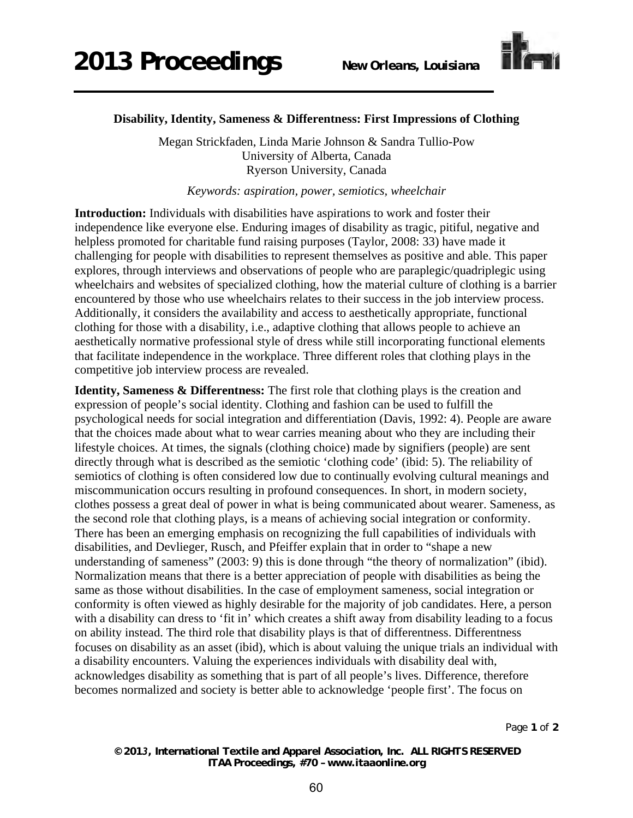

## **Disability, Identity, Sameness & Differentness: First Impressions of Clothing**

Megan Strickfaden, Linda Marie Johnson & Sandra Tullio-Pow University of Alberta, Canada Ryerson University, Canada

*Keywords: aspiration, power, semiotics, wheelchair* 

**Introduction:** Individuals with disabilities have aspirations to work and foster their independence like everyone else. Enduring images of disability as tragic, pitiful, negative and helpless promoted for charitable fund raising purposes (Taylor, 2008: 33) have made it challenging for people with disabilities to represent themselves as positive and able. This paper explores, through interviews and observations of people who are paraplegic/quadriplegic using wheelchairs and websites of specialized clothing, how the material culture of clothing is a barrier encountered by those who use wheelchairs relates to their success in the job interview process. Additionally, it considers the availability and access to aesthetically appropriate, functional clothing for those with a disability, i.e., adaptive clothing that allows people to achieve an aesthetically normative professional style of dress while still incorporating functional elements that facilitate independence in the workplace. Three different roles that clothing plays in the competitive job interview process are revealed.

**Identity, Sameness & Differentness:** The first role that clothing plays is the creation and expression of people's social identity. Clothing and fashion can be used to fulfill the psychological needs for social integration and differentiation (Davis, 1992: 4). People are aware that the choices made about what to wear carries meaning about who they are including their lifestyle choices. At times, the signals (clothing choice) made by signifiers (people) are sent directly through what is described as the semiotic 'clothing code' (ibid: 5). The reliability of semiotics of clothing is often considered low due to continually evolving cultural meanings and miscommunication occurs resulting in profound consequences. In short, in modern society, clothes possess a great deal of power in what is being communicated about wearer. Sameness, as the second role that clothing plays, is a means of achieving social integration or conformity. There has been an emerging emphasis on recognizing the full capabilities of individuals with disabilities, and Devlieger, Rusch, and Pfeiffer explain that in order to "shape a new understanding of sameness" (2003: 9) this is done through "the theory of normalization" (ibid). Normalization means that there is a better appreciation of people with disabilities as being the same as those without disabilities. In the case of employment sameness, social integration or conformity is often viewed as highly desirable for the majority of job candidates. Here, a person with a disability can dress to 'fit in' which creates a shift away from disability leading to a focus on ability instead. The third role that disability plays is that of differentness. Differentness focuses on disability as an asset (ibid), which is about valuing the unique trials an individual with a disability encounters. Valuing the experiences individuals with disability deal with, acknowledges disability as something that is part of all people's lives. Difference, therefore becomes normalized and society is better able to acknowledge 'people first'. The focus on